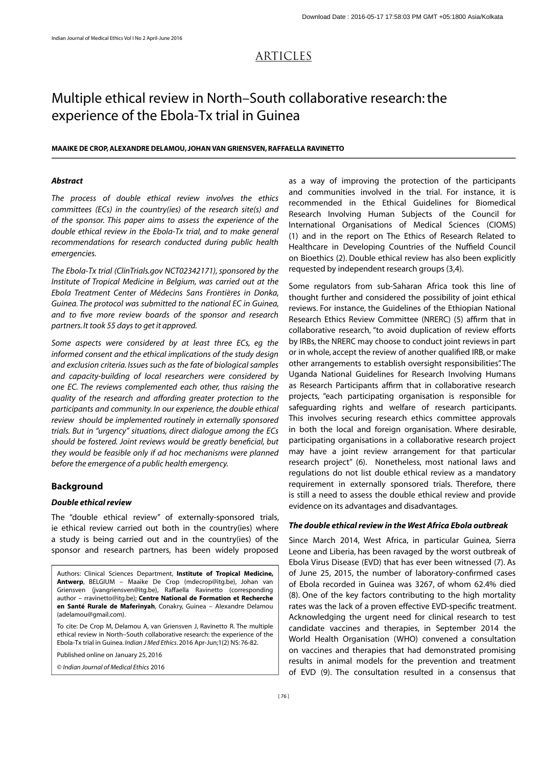## ARTICLES<br>Multiple ethical review in North–South collaborative research: the experience of the Ebola-Tx trial in Guinea

# **MAAIKE DE CROP, ALEXANDRE DELAMOU, JOHAN VAN GRIENSVEN, RAFFAELLA RAVINETTO**<br>**Abstract** as a way of interventional as a way of interventional as a way of interventional as a way of interventional and community</u>

#### *Abstract*

*The process of double ethical review involves the ethics committees (ECs) in the country(ies) of the research site(s) and of the sponsor. This paper aims to assess the experience of the double ethical review in the Ebola-Tx trial, and to make general recommendations for research conducted during public health emergencies.*

*The Ebola-Tx trial (ClinTrials.gov NCT02342171), sponsored by the Institute of Tropical Medicine in Belgium, was carried out at the Ebola Treatment Center of Médecins Sans Frontières in Donka, Guinea. The protocol was submitted to the national EC in Guinea, and to five more review boards of the sponsor and research partners. It took 55 days to get it approved.*

*Some aspects were considered by at least three ECs, eg the informed consent and the ethical implications of the study design and exclusion criteria. Issues such as the fate of biological samples and capacity-building of local researchers were considered by one EC. The reviews complemented each other, thus raising the quality of the research and affording greater protection to the participants and community. In our experience, the double ethical review should be implemented routinely in externally sponsored trials. But in "urgency" situations, direct dialogue among the ECs should be fostered. Joint reviews would be greatly beneficial, but they would be feasible only if ad hoc mechanisms were planned before the emergence of a public health emergency.*

#### **Background**

#### *Double ethical review*

The "double ethical review" of externally-sponsored trials, ie ethical review carried out both in the country(ies) where a study is being carried out and in the country(ies) of the sponsor and research partners, has been widely proposed

Authors: Clinical Sciences Department, **Institute of Tropical Medicine, Antwerp**, BELGIUM – Maaike De Crop (mdecrop@itg.be), Johan van Griensven (jvangriensven@itg.be), Raffaella Ravinetto (corresponding author – rravinetto@itg.be); **Centre National de Formation et Recherche**<br>**en Santé Rurale** Griensven (jvangriensven@itg.be), Raffaella Ravinetto (corresponding author – rravinetto@itg.be); **Centre National de Formation et Recherche en Santé Rurale de Maferinyah**, Conakry, Guinea – Alexandre Delamou (adelamou@gmail.com).

To cite: De Crop M, Delamou A, van Griensven J, Ravinetto R. The multiple ethical review in North–South collaborative research: the experience of the Ebola-Tx trial in Guinea. *Indian J Med Ethics*. 2016 Apr-Jun;1(2) NS: 76-82.

Published online on January 25, 2016

© *Indian Journal of Medical Ethics* 2016

as a way of improving the protection of the participants and communities involved in the trial. For instance, it is recommended in the Ethical Guidelines for Biomedical Research Involving Human Subjects of the Council for International Organisations of Medical Sciences (CIOMS) (1) and in the report on The Ethics of Research Related to Healthcare in Developing Countries of the Nuffield Council on Bioethics (2). Double ethical review has also been explicitly requested by independent research groups (3,4).

Some regulators from sub-Saharan Africa took this line of thought further and considered the possibility of joint ethical reviews. For instance, the Guidelines of the Ethiopian National Research Ethics Review Committee (NRERC) (5) affirm that in collaborative research, "to avoid duplication of review efforts by IRBs, the NRERC may choose to conduct joint reviews in part or in whole, accept the review of another qualified IRB, or make other arrangements to establish oversight responsibilities". The Uganda National Guidelines for Research Involving Humans<br>as Research Participants affirm that in collaborative research<br>projects, "each participating organisation is responsible for<br>safeguarding rights and welfare of resea as Research Participants affirm that in collaborative research projects, "each participating organisation is responsible for safeguarding rights and welfare of research participants. This involves securing research ethics committee approvals in both the local and foreign organisation. Where desirable, participating organisations in a collaborative research project may have a joint review arrangement for that particular research project" (6). Nonetheless, most national laws and regulations do not list double ethical review as a mandatory requirement in externally sponsored trials. Therefore, there is still a need to assess the double ethical review and provide evidence on its advantages and disadvantages.

#### *The double ethical review in the West Africa Ebola outbreak*

Since March 2014, West Africa, in particular Guinea, Sierra Leone and Liberia, has been ravaged by the worst outbreak of Ebola Virus Disease (EVD) that has ever been witnessed (7). As of June 25, 2015, the number of laboratory-confirmed cases of Ebola recorded in Guinea was 3267, of whom 62.4% died (8). One of the key factors contributing to the high mortality rates was the lack of a proven effective EVD-specific treatment. Acknowledging the urgent need for clinical research to test candidate vaccines and therapies, in September 2014 the World Health Organisation (WHO) convened a consultation on vaccines and therapies that had demonstrated promising results in animal models for the prevention and treatment of EVD (9). The consultation resulted in a consensus that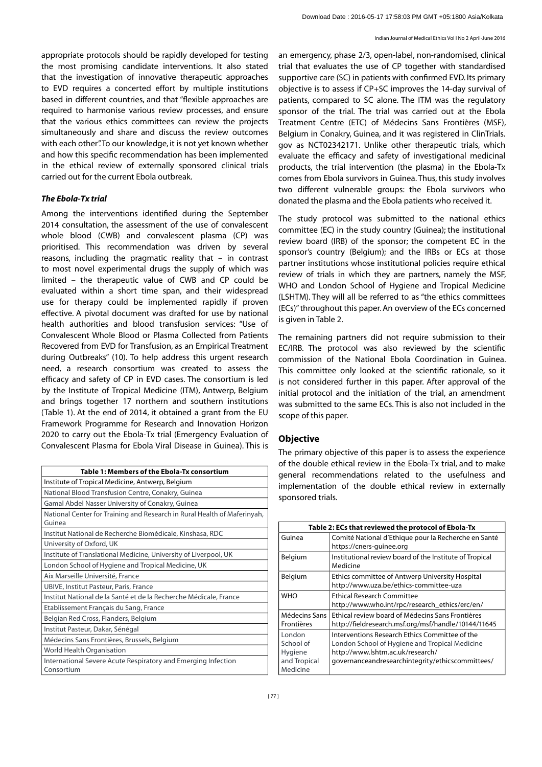appropriate protocols should be rapidly developed for testing the most promising candidate interventions. It also stated that the investigation of innovative therapeutic approaches to EVD requires a concerted effort by multiple institutions based in different countries, and that "flexible approaches are required to harmonise various review processes, and ensure that the various ethics committees can review the projects simultaneously and share and discuss the review outcomes with each other". To our knowledge, it is not yet known whether and how this specific recommendation has been implemented in the ethical review of externally sponsored clinical trials carried out for the current Ebola outbreak.

#### *The Ebola-Tx trial*

Among the interventions identified during the September 2014 consultation, the assessment of the use of convalescent whole blood (CWB) and convalescent plasma (CP) was prioritised. This recommendation was driven by several reasons, including the pragmatic reality that – in contrast to most novel experimental drugs the supply of which was limited – the therapeutic value of CWB and CP could be evaluated within a short time span, and their widespread use for therapy could be implemented rapidly if proven effective. A pivotal document was drafted for use by national health authorities and blood transfusion services: "Use of Convalescent Whole Blood or Plasma Collected from Patients<br>Recovered from EVD for Transfusion, as an Empirical Treatment<br>during Outbreaks" (10). To help address th Convalescent Whole Blood or Plasma Collected from Patients Recovered from EVD for Transfusion, as an Empirical Treatment during Outbreaks" (10). To help address this urgent research need, a research consortium was created to assess the efficacy and safety of CP in EVD cases. The consortium is led by the Institute of Tropical Medicine (ITM), Antwerp, Belgium and brings together 17 northern and southern institutions (Table 1). At the end of 2014, it obtained a grant from the EU<br>Framework Programme for Research and Innovation Horizon<br>2020 to carry out the Ebola-Tx trial (Emergency Evaluation of<br>Convalescent Plasma for Ebola Viral Disea Framework Programme for Research and Innovation Horizon 2020 to carry out the Ebola-Tx trial (Emergency Evaluation of Convalescent Plasma for Ebola Viral Disease in Guinea). This is

| Table 1: Members of the Ebola-Tx consortium                                        |
|------------------------------------------------------------------------------------|
| Institute of Tropical Medicine, Antwerp, Belgium                                   |
| National Blood Transfusion Centre, Conakry, Guinea                                 |
| Gamal Abdel Nasser University of Conakry, Guinea                                   |
| National Center for Training and Research in Rural Health of Maferinyah,<br>Guinea |
| Institut National de Recherche Biomédicale, Kinshasa, RDC                          |
| University of Oxford, UK                                                           |
| Institute of Translational Medicine, University of Liverpool, UK                   |
| London School of Hygiene and Tropical Medicine, UK                                 |
| Aix Marseille Université, France                                                   |
| UBIVE, Institut Pasteur, Paris, France                                             |
| Institut National de la Santé et de la Recherche Médicale, France                  |
| Etablissement Français du Sang, France                                             |
| Belgian Red Cross, Flanders, Belgium                                               |
| Institut Pasteur, Dakar, Sénégal                                                   |
| Médecins Sans Frontières, Brussels, Belgium                                        |
| World Health Organisation                                                          |
| International Severe Acute Respiratory and Emerging Infection<br>Consortium        |

an emergency, phase 2/3, open-label, non-randomised, clinical trial that evaluates the use of CP together with standardised supportive care (SC) in patients with confirmed EVD. Its primary objective is to assess if CP+SC improves the 14-day survival of patients, compared to SC alone. The ITM was the regulatory sponsor of the trial. The trial was carried out at the Ebola Treatment Centre (ETC) of Médecins Sans Frontières (MSF), Belgium in Conakry, Guinea, and it was registered in ClinTrials. gov as NCT02342171. Unlike other therapeutic trials, which evaluate the efficacy and safety of investigational medicinal products, the trial intervention (the plasma) in the Ebola-Tx comes from Ebola survivors in Guinea. T evaluate the efficacy and safety of investigational medicinal products, the trial intervention (the plasma) in the Ebola-Tx comes from Ebola survivors in Guinea. Thus, this study involves donated the plasma and the Ebola patients who received it.

The study protocol was submitted to the national ethics committee (EC) in the study country (Guinea); the institutional review board (IRB) of the sponsor; the competent EC in the sponsor's country (Belgium); and the IRBs or ECs at those partner institutions whose institutional policies require ethical review of trials in which they are partners, namely the MSF, WHO and London School of Hygiene and Tropical Medicine (LSHTM). They will all be referred to as "the ethics committees (ECs)" throughout this paper. An overview of the ECs concerned is given in Table 2.

The remaining partners did not require submission to their EC/IRB. The protocol was also reviewed by the scientific commission of the National Ebola Coordination in Guinea. This committee only looked at the scientific rationale, so it is not considered further in this paper. After approval of the initial protocol and the initiation of the trial, an amendment was submitted to the same ECs. This is also not included in the scope of this paper.

#### **Objective**

The primary objective of this paper is to assess the experience of the double ethical review in the Ebola-Tx trial, and to make general recommendations related to the usefulness and implementation of the double ethical review in externally sponsored trials.

| Table 2: ECs that reviewed the protocol of Ebola-Tx |                                                         |  |  |  |  |  |  |
|-----------------------------------------------------|---------------------------------------------------------|--|--|--|--|--|--|
| Guinea                                              | Comité National d'Ethique pour la Recherche en Santé    |  |  |  |  |  |  |
|                                                     | https://cners-guinee.org                                |  |  |  |  |  |  |
| Belgium                                             | Institutional review board of the Institute of Tropical |  |  |  |  |  |  |
|                                                     | Medicine                                                |  |  |  |  |  |  |
| Belgium                                             | Ethics committee of Antwerp University Hospital         |  |  |  |  |  |  |
|                                                     | http://www.uza.be/ethics-committee-uza                  |  |  |  |  |  |  |
| <b>WHO</b>                                          | <b>Ethical Research Committee</b>                       |  |  |  |  |  |  |
|                                                     | http://www.who.int/rpc/research_ethics/erc/en/          |  |  |  |  |  |  |
| Médecins Sans                                       | Ethical review board of Médecins Sans Frontières        |  |  |  |  |  |  |
| Frontières                                          | http://fieldresearch.msf.org/msf/handle/10144/11645     |  |  |  |  |  |  |
| London                                              | Interventions Research Ethics Committee of the          |  |  |  |  |  |  |
| School of                                           | London School of Hygiene and Tropical Medicine          |  |  |  |  |  |  |
| Hygiene                                             | http://www.lshtm.ac.uk/research/                        |  |  |  |  |  |  |
| and Tropical                                        | qovernanceandresearchintegrity/ethicscommittees/        |  |  |  |  |  |  |
| Medicine                                            |                                                         |  |  |  |  |  |  |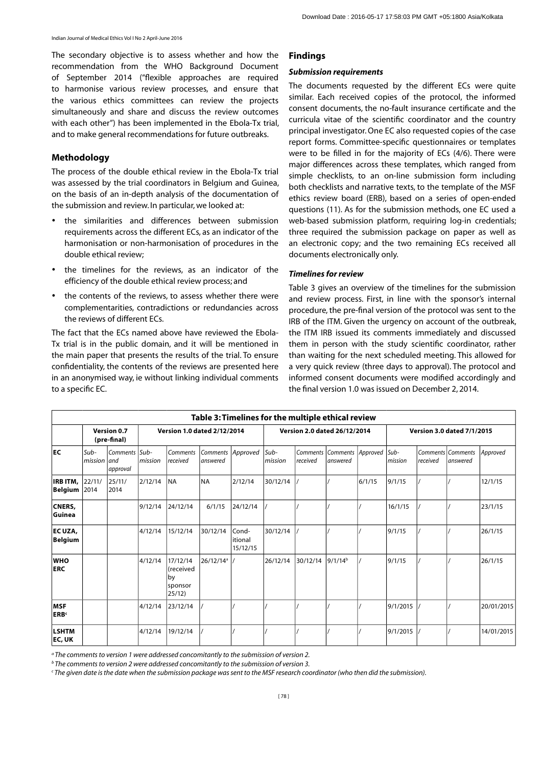The secondary objective is to assess whether and how the recommendation from the WHO Background Document of September 2014 ("flexible approaches are required to harmonise various review processes, and ensure that the various ethics committees can review the projects simultaneously and share and discuss the review outcomes with each other") has been implemented in the Ebola-Tx trial, and to make general recommendations for future outbreaks.

#### **Methodology**

The process of the double ethical review in the Ebola-Tx trial was assessed by the trial coordinators in Belgium and Guinea, on the basis of an in-depth analysis of the documentation of the submission and review. In particular, we looked at:

- the similarities and differences between submission requirements across the different ECs, as an indicator of the harmonisation or non-harmonisation of procedures in the double ethical review;
- the timelines for the reviews, as an indicator of the efficiency of the double ethical review process; and
- the contents of the reviews, to assess whether there were complementarities, contradictions or redundancies across the reviews of different ECs.

The fact that the ECs named above have reviewed the Ebola-Tx trial is in the public domain, and it will be mentioned in the main paper that presents the results of the trial. To ensure confidentiality, the contents of the reviews are presented here in an anonymised way, ie without linking individual comments to a specific EC.

### **Findings**

#### *Submission requirements*

The documents requested by the different ECs were quite similar. Each received copies of the protocol, the informed consent documents, the no-fault insurance certificate and the curricula vitae of the scientific coordinator and the country principal investigator. One EC also requested copies of the case report forms. Committee-specific questionnaires or templates were to be filled in for the majority of ECs (4/6). There were major differences across these templates, which ranged from simple checklists, to an on-line submission form including both checklists and narrative texts, to the template of the MSF ethics review board (ERB), based on a series of open-ended questions (11). As for the submission methods, one EC used a web-based submission platform, requiring log-in credentials; three required the submission package on paper as well as an electronic copy; and the two remaining ECs received all documents electronically only.

#### *Timelines for review*

Table 3 gives an overview of the timelines for the submission and review process. First, in line with the sponsor's internal procedure, the pre-final version of the protocol was sent to the IRB of the ITM. Given the urgency on account of the outbreak, the ITM IRB issued its comments immediately and discussed them in person with the study scientific coordinator, rather than waiting for the next scheduled meeting. This allowed for a very quick review (three days to approval). The protocol and informed consent documents were modified accordingly and the final version 1.0 was issued on December 2, 2014.

|                                       | <b>Version 0.7</b><br>(pre-final) |                           | Version 1.0 dated 2/12/2014 |                                                  |                                |                               | Version 2.0 dated 26/12/2014 |                      |                               | Version 3.0 dated 7/1/2015 |                    |          |                               |            |
|---------------------------------------|-----------------------------------|---------------------------|-----------------------------|--------------------------------------------------|--------------------------------|-------------------------------|------------------------------|----------------------|-------------------------------|----------------------------|--------------------|----------|-------------------------------|------------|
| <b>EC</b>                             | $Sub-$<br>mission land            | Comments Sub-<br>approval | mission                     | Comments<br>received                             | Comments Approved<br>lanswered |                               | $Sub-$<br>mission            | Comments<br>received | Comments Approved<br>answered |                            | $Sub-$<br>Imission | received | Comments Comments<br>answered | Approved   |
| <b>IRB ITM.</b><br>Belgium            | 22/11/<br>2014                    | 25/11/<br>2014            | 2/12/14                     | <b>NA</b>                                        | <b>NA</b>                      | 2/12/14                       | 30/12/14                     |                      |                               | 6/1/15                     | 9/1/15             |          |                               | 12/1/15    |
| CNERS,<br><b>Guinea</b>               |                                   |                           | 9/12/14                     | 24/12/14                                         | 6/1/15                         | 24/12/14                      |                              |                      |                               |                            | 16/1/15            |          |                               | 23/1/15    |
| <b>EC UZA,</b><br><b>Belgium</b>      |                                   |                           | 4/12/14                     | 15/12/14                                         | 30/12/14                       | Cond-<br>litional<br>15/12/15 | 30/12/14                     |                      |                               |                            | 9/1/15             |          |                               | 26/1/15    |
| <b>WHO</b><br><b>ERC</b>              |                                   |                           | 4/12/14                     | 17/12/14<br>(received<br>by<br>sponsor<br>25/12) | 26/12/14 <sup>a</sup>          |                               | 26/12/14                     | 30/12/14             | 9/1/14 <sup>b</sup>           |                            | 9/1/15             |          |                               | 26/1/15    |
| <b>MSF</b><br><b>ERB</b> <sup>c</sup> |                                   |                           | 4/12/14                     | 23/12/14                                         |                                |                               |                              |                      |                               |                            | 9/1/2015           |          |                               | 20/01/2015 |
| <b>LSHTM</b><br>EC, UK                |                                   |                           | 4/12/14                     | 19/12/14                                         |                                |                               |                              |                      |                               |                            | 9/1/2015           |          |                               | 14/01/2015 |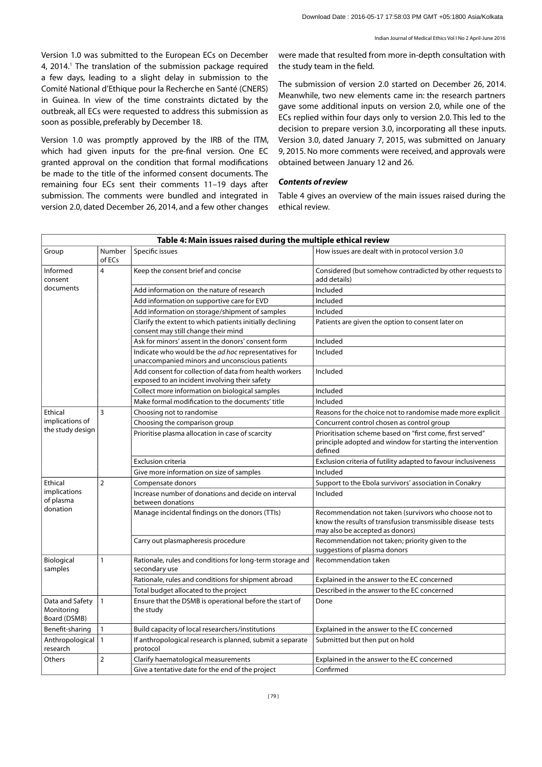Version 1.0 was submitted to the European ECs on December 4, 2014.<sup>1</sup> The translation of the submission package required a few days, leading to a slight delay in submission to the Comité National d'Ethique pour la Recherche en Santé (CNERS) in Guinea. In view of the time constraints dictated by the outbreak, all ECs were requested to address this submission as soon as possible, preferably by December 18.

Version 1.0 was promptly approved by the IRB of the ITM, which had given inputs for the pre-final version. One EC granted approval on the condition that formal modifications be made to the title of the informed consent documents. The remaining four ECs sent their comments 11–19 days after submission. The comments were bundled and integrated in version 2.0, dated December 26, 2014, and a few other changes

were made that resulted from more in-depth consultation with the study team in the field.

The submission of version 2.0 started on December 26, 2014. Meanwhile, two new elements came in: the research partners gave some additional inputs on version 2.0, while one of the ECs replied within four days only to version 2.0. This led to the decision to prepare version 3.0, incorporating all these inputs. Version 3.0, dated January 7, 2015, was submitted on January 9, 2015. No more comments were received, and approvals were obtained between January 12 and 26.

#### *Contents of review*

Table 4 gives an overview of the main issues raised during the ethical review.

|                                                  |                  | Table 4: Main issues raised during the multiple ethical review                                          |                                                                                                                                                         |  |  |  |  |
|--------------------------------------------------|------------------|---------------------------------------------------------------------------------------------------------|---------------------------------------------------------------------------------------------------------------------------------------------------------|--|--|--|--|
| Group                                            | Number<br>of ECs | Specific issues                                                                                         | How issues are dealt with in protocol version 3.0                                                                                                       |  |  |  |  |
| Informed<br>consent                              | 4                | Keep the consent brief and concise                                                                      | Considered (but somehow contradicted by other requests to<br>add details)                                                                               |  |  |  |  |
| documents                                        |                  | Add information on the nature of research                                                               | Included                                                                                                                                                |  |  |  |  |
|                                                  |                  | Add information on supportive care for EVD                                                              | Included                                                                                                                                                |  |  |  |  |
|                                                  |                  | Add information on storage/shipment of samples                                                          | Included                                                                                                                                                |  |  |  |  |
|                                                  |                  | Clarify the extent to which patients initially declining<br>consent may still change their mind         | Patients are given the option to consent later on                                                                                                       |  |  |  |  |
|                                                  |                  | Ask for minors' assent in the donors' consent form                                                      | Included                                                                                                                                                |  |  |  |  |
|                                                  |                  | Indicate who would be the ad hoc representatives for<br>unaccompanied minors and unconscious patients   | Included                                                                                                                                                |  |  |  |  |
|                                                  |                  | Add consent for collection of data from health workers<br>exposed to an incident involving their safety | Included                                                                                                                                                |  |  |  |  |
|                                                  |                  | Collect more information on biological samples                                                          | Included                                                                                                                                                |  |  |  |  |
|                                                  |                  | Make formal modification to the documents' title                                                        | Included                                                                                                                                                |  |  |  |  |
| Ethical<br>implications of<br>the study design   | 3                | Choosing not to randomise                                                                               | Reasons for the choice not to randomise made more explicit                                                                                              |  |  |  |  |
|                                                  |                  | Choosing the comparison group                                                                           | Concurrent control chosen as control group                                                                                                              |  |  |  |  |
|                                                  |                  | Prioritise plasma allocation in case of scarcity                                                        | Prioritisation scheme based on "first come, first served"<br>principle adopted and window for starting the intervention<br>defined                      |  |  |  |  |
|                                                  |                  | <b>Exclusion criteria</b>                                                                               | Exclusion criteria of futility adapted to favour inclusiveness                                                                                          |  |  |  |  |
|                                                  |                  | Give more information on size of samples                                                                | Included                                                                                                                                                |  |  |  |  |
| Ethical<br>implications<br>of plasma<br>donation | 2                | Compensate donors                                                                                       | Support to the Ebola survivors' association in Conakry                                                                                                  |  |  |  |  |
|                                                  |                  | Increase number of donations and decide on interval<br>between donations                                | Included                                                                                                                                                |  |  |  |  |
|                                                  |                  | Manage incidental findings on the donors (TTIs)                                                         | Recommendation not taken (survivors who choose not to<br>know the results of transfusion transmissible disease tests<br>may also be accepted as donors) |  |  |  |  |
|                                                  |                  | Carry out plasmapheresis procedure                                                                      | Recommendation not taken; priority given to the<br>suggestions of plasma donors                                                                         |  |  |  |  |
| Biological<br>samples                            | 1                | Rationale, rules and conditions for long-term storage and<br>secondary use                              | <b>Recommendation taken</b>                                                                                                                             |  |  |  |  |
|                                                  |                  | Rationale, rules and conditions for shipment abroad                                                     | Explained in the answer to the EC concerned                                                                                                             |  |  |  |  |
|                                                  |                  | Total budget allocated to the project                                                                   | Described in the answer to the EC concerned                                                                                                             |  |  |  |  |
| Data and Safety<br>Monitoring<br>Board (DSMB)    | $\mathbf{1}$     | Ensure that the DSMB is operational before the start of<br>the study                                    | Done                                                                                                                                                    |  |  |  |  |
| Benefit-sharing                                  | $\mathbf{1}$     | Build capacity of local researchers/institutions                                                        | Explained in the answer to the EC concerned                                                                                                             |  |  |  |  |
| Anthropological<br>research                      | $\mathbf{1}$     | If anthropological research is planned, submit a separate<br>protocol                                   | Submitted but then put on hold                                                                                                                          |  |  |  |  |
| Others                                           | $\overline{2}$   | Clarify haematological measurements                                                                     | Explained in the answer to the EC concerned                                                                                                             |  |  |  |  |
|                                                  |                  | Give a tentative date for the end of the project                                                        | Confirmed                                                                                                                                               |  |  |  |  |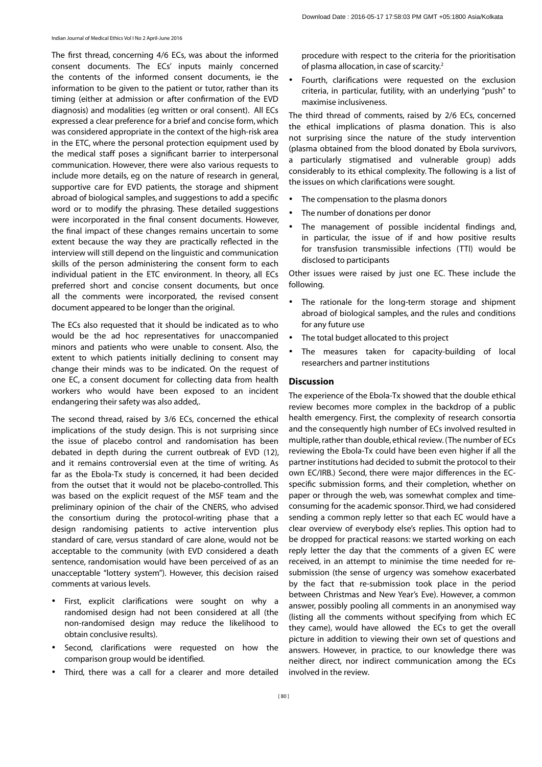The first thread, concerning 4/6 ECs, was about the informed consent documents. The ECs' inputs mainly concerned the contents of the informed consent documents, ie the information to be given to the patient or tutor, rather than its timing (either at admission or after confirmation of the EVD diagnosis) and modalities (eg written or oral consent). All ECs expressed a clear preference for a brief and concise form, which was considered appropriate in the context of the high-risk area in the ETC, where the personal protection equipment used by the medical staff poses a significant barrier to interpersonal communication. However, there were also various requests to include more details, eg on the nature of research in general, supportive care for EVD patients, the storage and shipment abroad of biological samples, and suggestions to add a specific word or to modify the phrasing. These detailed suggestions were incorporated in the final consent documents. However, the final impact of these changes remains uncertain to some extent because the way they are practically reflected in the interview will still depend on the linguistic and communication skills of the person administering the consent form to each individual patient in the ETC environment. In theory, all ECs preferred short and concise consent documents, but once all the comments were incorporated, the revised consent document appeared to be longer than the original.

The ECs also requested that it should be indicated as to who would be the ad hoc representatives for unaccompanied minors and patients who were unable to consent. Also, the extent to which patients initially declining to consent may change their minds was to be indicated. On the request of one EC, a consent document for collecting data from health workers who would have been exposed to an incident endangering their safety was also added,.

The second thread, raised by 3/6 ECs, concerned the ethical implications of the study design. This is not surprising since the issue of placebo control and randomisation has been debated in depth during the current outbreak of EVD (12), and it remains controversial even at the time of writing. As far as the Ebola-Tx study is concerned, it had been decided from the outset that it would not be placebo-controlled. This was based on the explicit request of the MSF team and the preliminary opinion of the chair of the CNERS, who advised the consortium during the protocol-writing phase that a design randomising patients to active intervention plus standard of care, versus standard of care alone, would not be acceptable to the community (with EVD considered a death sentence, randomisation would have been perceived of as an unacceptable "lottery system"). However, this decision raised comments at various levels.

- First, explicit clarifications were sought on why a randomised design had not been considered at all (the non-randomised design may reduce the likelihood to obtain conclusive results).
- Second, clarifications were requested on how the comparison group would be identified.
- Third, there was a call for a clearer and more detailed

procedure with respect to the criteria for the prioritisation of plasma allocation, in case of scarcity.<sup>2</sup>

• Fourth, clarifications were requested on the exclusion criteria, in particular, futility, with an underlying "push" to maximise inclusiveness.

The third thread of comments, raised by 2/6 ECs, concerned the ethical implications of plasma donation. This is also not surprising since the nature of the study intervention (plasma obtained from the blood donated by Ebola survivors, a particularly stigmatised and vulnerable group) adds considerably to its ethical complexity. The following is a list of the issues on which clarifications were sought.

- The compensation to the plasma donors
- The number of donations per donor
- The management of possible incidental findings and, in particular, the issue of if and how positive results for transfusion transmissible infections (TTI) would be disclosed to participants

Other issues were raised by just one EC. These include the following.

- The rationale for the long-term storage and shipment abroad of biological samples, and the rules and conditions for any future use
- The total budget allocated to this project
- The measures taken for capacity-building of local researchers and partner institutions

#### **Discussion**

The experience of the Ebola-Tx showed that the double ethical review becomes more complex in the backdrop of a public health emergency. First, the complexity of research consortia and the consequently high number of ECs involved resulted in multiple, rather than double, ethical review. (The number of ECs reviewing the Ebola-Tx could have been even higher if all the partner institutions had decided to submit the protocol to their own EC/IRB.) Second, there were major differences in the ECspecific submission forms, and their completion, whether on paper or through the web, was somewhat complex and timeconsuming for the academic sponsor. Third, we had considered sending a common reply letter so that each EC would have a clear overview of everybody else's replies. This option had to be dropped for practical reasons: we started working on each reply letter the day that the comments of a given EC were received, in an attempt to minimise the time needed for resubmission (the sense of urgency was somehow exacerbated by the fact that re-submission took place in the period between Christmas and New Year's Eve). However, a common answer, possibly pooling all comments in an anonymised way (listing all the comments without specifying from which EC they came), would have allowed the ECs to get the overall picture in addition to viewing their own set of questions and answers. However, in practice, to our knowledge there was neither direct, nor indirect communication among the ECs involved in the review.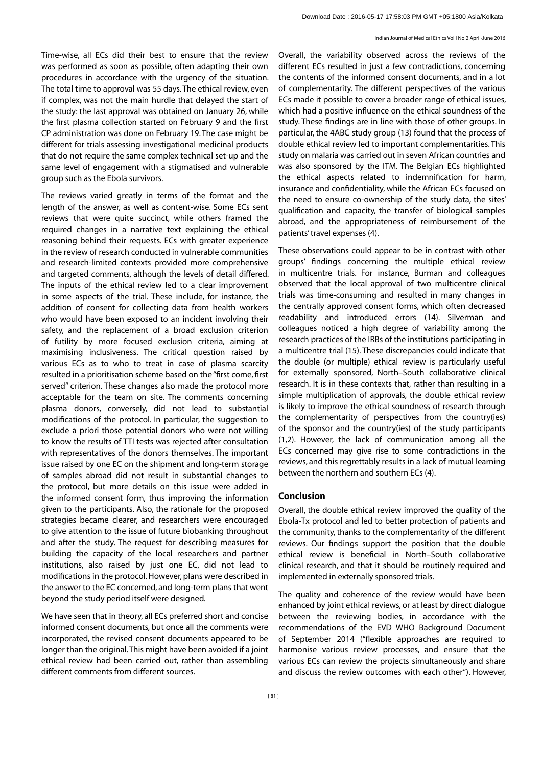#### Indian Journal of Medical Ethics Vol I No 2 April-June 2016

Time-wise, all ECs did their best to ensure that the review was performed as soon as possible, often adapting their own procedures in accordance with the urgency of the situation. The total time to approval was 55 days. The ethical review, even if complex, was not the main hurdle that delayed the start of the study: the last approval was obtained on January 26, while the first plasma collection started on February 9 and the first CP administration was done on February 19. The case might be different for trials assessing investigational medicinal products that do not require the same complex technical set-up and the same level of engagement with a stigmatised and vulnerable group such as the Ebola survivors.

The reviews varied greatly in terms of the format and the length of the answer, as well as content-wise. Some ECs sent reviews that were quite succinct, while others framed the required changes in a narrative text explaining the ethical reasoning behind their requests. ECs with greater experience in the review of research conducted in vulnerable communities and research-limited contexts provided more comprehensive and targeted comments, although the levels of detail differed. The inputs of the ethical review led to a clear improvement in some aspects of the trial. These include, for instance, the addition of consent for collecting data from health workers who would have been exposed to an incident involving their safety, and the replacement of a broad exclusion criterion of futility by more focused exclusion criteria, aiming at maximising inclusiveness. The critical question raised by various ECs as to who to treat in case of plasma scarcity resulted in a prioritisation scheme based on the "first come, first served" criterion. These changes also made the protocol more acceptable for the team on site. The comments concerning plasma donors, conversely, did not lead to substantial modifications of the protocol. In particular, the suggestion to exclude a priori those potential donors who were not willing to know the results of TTI tests was rejected after consultation with representatives of the donors themselves. The important issue raised by one EC on the shipment and long-term storage of samples abroad did not result in substantial changes to the protocol, but more details on this issue were added in the informed consent form, thus improving the information given to the participants. Also, the rationale for the proposed strategies became clearer, and researchers were encouraged to give attention to the issue of future biobanking throughout and after the study. The request for describing measures for building the capacity of the local researchers and partner institutions, also raised by just one EC, did not lead to modifications in the protocol. However, plans were described in the answer to the EC concerned, and long-term plans that went beyond the study period itself were designed.

We have seen that in theory, all ECs preferred short and concise informed consent documents, but once all the comments were incorporated, the revised consent documents appeared to be longer than the original. This might have been avoided if a joint ethical review had been carried out, rather than assembling different comments from different sources.

Overall, the variability observed across the reviews of the different ECs resulted in just a few contradictions, concerning the contents of the informed consent documents, and in a lot of complementarity. The different perspectives of the various ECs made it possible to cover a broader range of ethical issues, which had a positive influence on the ethical soundness of the study. These findings are in line with those of other groups. In particular, the 4ABC study group (13) found that the process of double ethical review led to important complementarities. This study on malaria was carried out in seven African countries and was also sponsored by the ITM. The Belgian ECs highlighted the ethical aspects related to indemnification for harm, insurance and confidentiality, while the African ECs focused on the need to ensure co-ownership of the study data, the sites' qualification and capacity, the transfer of biological samples abroad, and the appropriateness of reimbursement of the patients' travel expenses (4).

These observations could appear to be in contrast with other groups' findings concerning the multiple ethical review in multicentre trials. For instance, Burman and colleagues observed that the local approval of two multicentre clinical trials was time-consuming and resulted in many changes in the centrally approved consent forms, which often decreased readability and introduced errors (14). Silverman and colleagues noticed a high degree of variability among the research practices of the IRBs of the institutions participating in a multicentre trial (15). These discrepancies could indicate that the double (or multiple) ethical review is particularly useful for externally sponsored, North–South collaborative clinical research. It is in these contexts that, rather than resulting in a simple multiplication of approvals, the double ethical review is likely to improve the ethical soundness of research through the complementarity of perspectives from the country(ies) of the sponsor and the country(ies) of the study participants (1,2). However, the lack of communication among all the ECs concerned may give rise to some contradictions in the reviews, and this regrettably results in a lack of mutual learning between the northern and southern ECs (4).

#### **Conclusion**

Overall, the double ethical review improved the quality of the Ebola-Tx protocol and led to better protection of patients and the community, thanks to the complementarity of the different reviews. Our findings support the position that the double ethical review is beneficial in North–South collaborative clinical research, and that it should be routinely required and implemented in externally sponsored trials.

The quality and coherence of the review would have been enhanced by joint ethical reviews, or at least by direct dialogue between the reviewing bodies, in accordance with the recommendations of the EVD WHO Background Document of September 2014 ("flexible approaches are required to harmonise various review processes, and ensure that the various ECs can review the projects simultaneously and share and discuss the review outcomes with each other"). However,